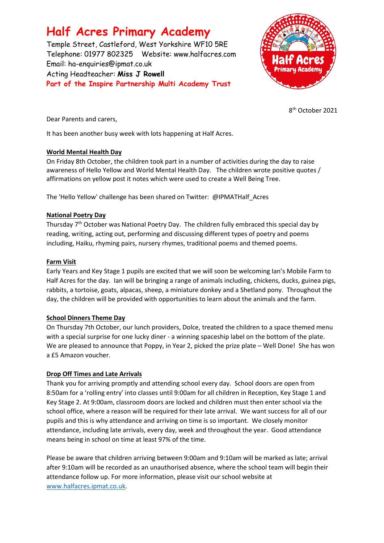# **Half Acres Primary Academy**

Temple Street, Castleford, West Yorkshire WF10 5RE Telephone: 01977 802325 Website: [www.halfacres.com](http://www.halfacres.com/) Email: ha-enquiries@ipmat.co.uk Acting Headteacher: **Miss J Rowell Part of the Inspire Partnership Multi Academy Trust**



8 th October 2021

Dear Parents and carers,

It has been another busy week with lots happening at Half Acres.

# **World Mental Health Day**

On Friday 8th October, the children took part in a number of activities during the day to raise awareness of Hello Yellow and World Mental Health Day. The children wrote positive quotes / affirmations on yellow post it notes which were used to create a Well Being Tree.

The 'Hello Yellow' challenge has been shared on Twitter: @IPMATHalf\_Acres

## **National Poetry Day**

Thursday 7<sup>th</sup> October was National Poetry Day. The children fully embraced this special day by reading, writing, acting out, performing and discussing different types of poetry and poems including, Haiku, rhyming pairs, nursery rhymes, traditional poems and themed poems.

## **Farm Visit**

Early Years and Key Stage 1 pupils are excited that we will soon be welcoming Ian's Mobile Farm to Half Acres for the day. Ian will be bringing a range of animals including, chickens, ducks, guinea pigs, rabbits, a tortoise, goats, alpacas, sheep, a miniature donkey and a Shetland pony. Throughout the day, the children will be provided with opportunities to learn about the animals and the farm.

# **School Dinners Theme Day**

On Thursday 7th October, our lunch providers, Dolce, treated the children to a space themed menu with a special surprise for one lucky diner - a winning spaceship label on the bottom of the plate. We are pleased to announce that Poppy, in Year 2, picked the prize plate – Well Done! She has won a £5 Amazon voucher.

# **Drop Off Times and Late Arrivals**

Thank you for arriving promptly and attending school every day. School doors are open from 8:50am for a 'rolling entry' into classes until 9:00am for all children in Reception, Key Stage 1 and Key Stage 2. At 9:00am, classroom doors are locked and children must then enter school via the school office, where a reason will be required for their late arrival. We want success for all of our pupils and this is why attendance and arriving on time is so important. We closely monitor attendance, including late arrivals, every day, week and throughout the year. Good attendance means being in school on time at least 97% of the time.

Please be aware that children arriving between 9:00am and 9:10am will be marked as late; arrival after 9:10am will be recorded as an unauthorised absence, where the school team will begin their attendance follow up. For more information, please visit our school website at [www.halfacres.ipmat.co.uk.](http://www.halfacres.ipmat.co.uk/)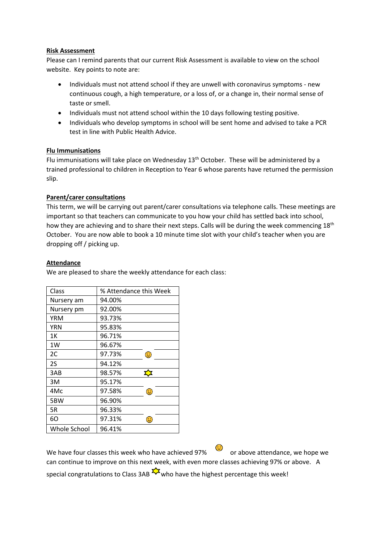#### **Risk Assessment**

Please can I remind parents that our current Risk Assessment is available to view on the school website. Key points to note are:

- Individuals must not attend school if they are unwell with coronavirus symptoms new continuous cough, a high temperature, or a loss of, or a change in, their normal sense of taste or smell.
- Individuals must not attend school within the 10 days following testing positive.
- Individuals who develop symptoms in school will be sent home and advised to take a PCR test in line with Public Health Advice.

## **Flu Immunisations**

Flu immunisations will take place on Wednesday 13<sup>th</sup> October. These will be administered by a trained professional to children in Reception to Year 6 whose parents have returned the permission slip.

# **Parent/carer consultations**

This term, we will be carrying out parent/carer consultations via telephone calls. These meetings are important so that teachers can communicate to you how your child has settled back into school, how they are achieving and to share their next steps. Calls will be during the week commencing 18<sup>th</sup> October. You are now able to book a 10 minute time slot with your child's teacher when you are dropping off / picking up.

#### **Attendance**

Class % Attendance this Week Nursery am 94.00% Nursery pm 92.00% YRM 93.73% YRN 95.83% 1K 96.71% 1W 96.67% 2C 97.73%  $\odot$ 2S 94.12%  $\overline{\mathbf{r}}$ 3AB 98.57% 3M 95.17% 4Mc 97.58%  $\bigodot$ 5BW 96.90% 5R 96.33% 6O 97.31%  $\odot$ Whole School 96.41%

We are pleased to share the weekly attendance for each class:

We have four classes this week who have achieved 97% or above attendance, we hope we can continue to improve on this next week, with even more classes achieving 97% or above. A special congratulations to Class 3AB  $\frac{1}{2}$  who have the highest percentage this week!